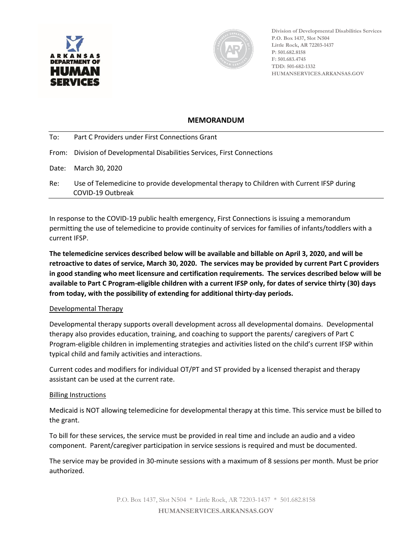



**Division of Developmental Disabilities Services P.O. Box 1437, Slot N504 Little Rock, AR 72203-1437 P: 501.682.8158 F: 501.683.4745 TDD: 501-682-1332 HUMANSERVICES.ARKANSAS.GOV**

## **MEMORANDUM**

| To: | Part C Providers under First Connections Grant                                                                 |
|-----|----------------------------------------------------------------------------------------------------------------|
|     | From: Division of Developmental Disabilities Services, First Connections                                       |
|     | Date: March 30, 2020                                                                                           |
| Re: | Use of Telemedicine to provide developmental therapy to Children with Current IFSP during<br>COVID-19 Outbreak |

In response to the COVID-19 public health emergency, First Connections is issuing a memorandum permitting the use of telemedicine to provide continuity of services for families of infants/toddlers with a current IFSP.

**The telemedicine services described below will be available and billable on April 3, 2020, and will be retroactive to dates of service, March 30, 2020. The services may be provided by current Part C providers in good standing who meet licensure and certification requirements. The services described below will be available to Part C Program-eligible children with a current IFSP only, for dates of service thirty (30) days from today, with the possibility of extending for additional thirty-day periods.** 

## Developmental Therapy

Developmental therapy supports overall development across all developmental domains. Developmental therapy also provides education, training, and coaching to support the parents/ caregivers of Part C Program-eligible children in implementing strategies and activities listed on the child's current IFSP within typical child and family activities and interactions.

Current codes and modifiers for individual OT/PT and ST provided by a licensed therapist and therapy assistant can be used at the current rate.

## Billing Instructions

Medicaid is NOT allowing telemedicine for developmental therapy at this time. This service must be billed to the grant.

To bill for these services, the service must be provided in real time and include an audio and a video component. Parent/caregiver participation in service sessions is required and must be documented.

The service may be provided in 30-minute sessions with a maximum of 8 sessions per month. Must be prior authorized.